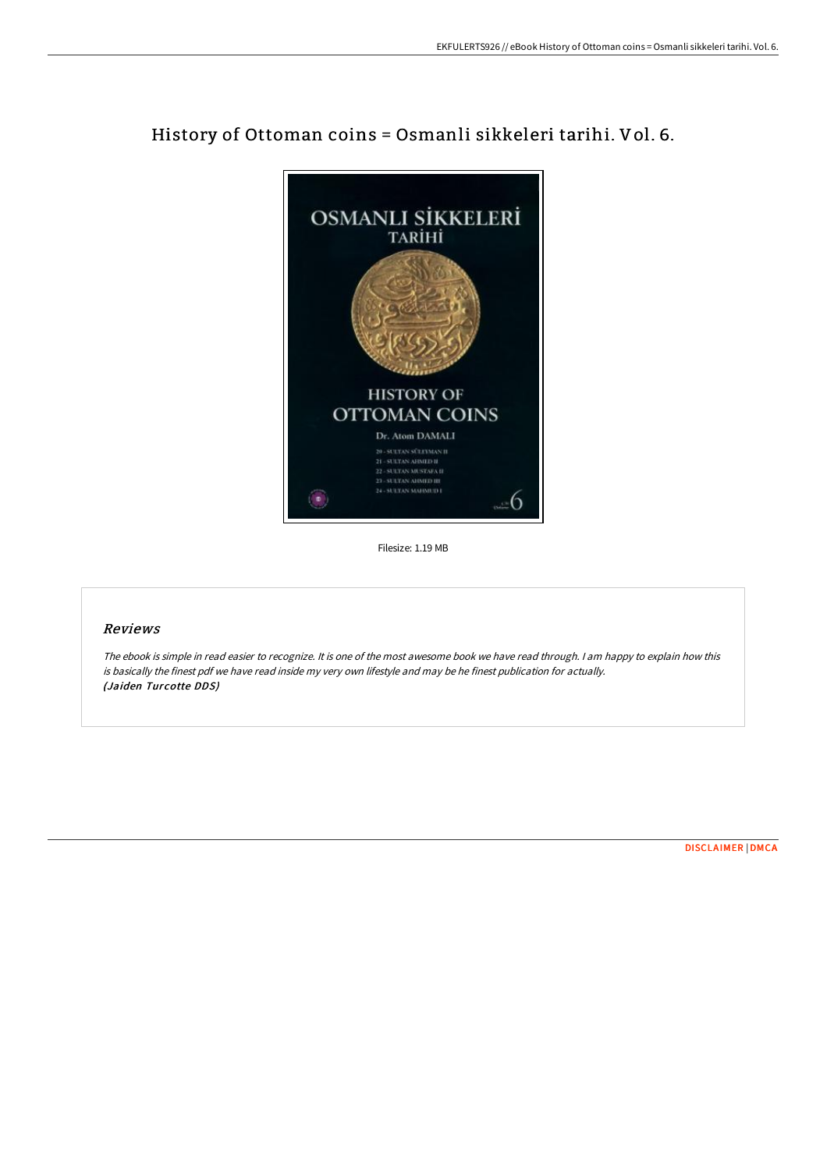

History of Ottoman coins = Osmanli sikkeleri tarihi. Vol. 6.

Filesize: 1.19 MB

# Reviews

The ebook is simple in read easier to recognize. It is one of the most awesome book we have read through. <sup>I</sup> am happy to explain how this is basically the finest pdf we have read inside my very own lifestyle and may be he finest publication for actually. (Jaiden Turcotte DDS)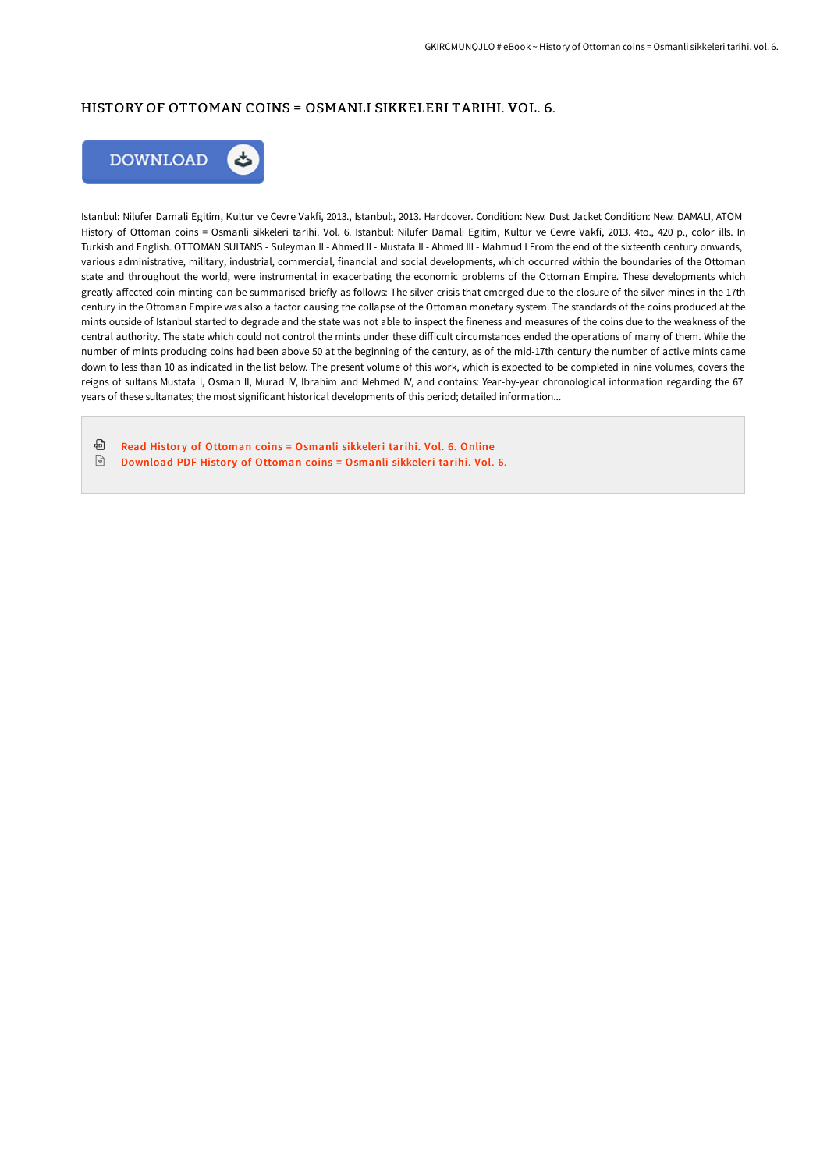## HISTORY OF OTTOMAN COINS = OSMANLI SIKKELERI TARIHI. VOL. 6.



Istanbul: Nilufer Damali Egitim, Kultur ve Cevre Vakfi, 2013., Istanbul:, 2013. Hardcover. Condition: New. Dust Jacket Condition: New. DAMALI, ATOM History of Ottoman coins = Osmanli sikkeleri tarihi. Vol. 6. Istanbul: Nilufer Damali Egitim, Kultur ve Cevre Vakfi, 2013. 4to., 420 p., color ills. In Turkish and English. OTTOMAN SULTANS - Suleyman II - Ahmed II - Mustafa II - Ahmed III - Mahmud I From the end of the sixteenth century onwards, various administrative, military, industrial, commercial, financial and social developments, which occurred within the boundaries of the Ottoman state and throughout the world, were instrumental in exacerbating the economic problems of the Ottoman Empire. These developments which greatly affected coin minting can be summarised briefly as follows: The silver crisis that emerged due to the closure of the silver mines in the 17th century in the Ottoman Empire was also a factor causing the collapse of the Ottoman monetary system. The standards of the coins produced at the mints outside of Istanbul started to degrade and the state was not able to inspect the fineness and measures of the coins due to the weakness of the central authority. The state which could not control the mints under these difficult circumstances ended the operations of many of them. While the number of mints producing coins had been above 50 at the beginning of the century, as of the mid-17th century the number of active mints came down to less than 10 as indicated in the list below. The present volume of this work, which is expected to be completed in nine volumes, covers the reigns of sultans Mustafa I, Osman II, Murad IV, Ibrahim and Mehmed IV, and contains: Year-by-year chronological information regarding the 67 years of these sultanates; the most significant historical developments of this period; detailed information...

品 Read History of [Ottoman](http://bookera.tech/history-of-ottoman-coins-osmanli-sikkeleri-tarih.html) coins = Osmanli sikkeleri tarihi. Vol. 6. Online  $\frac{1}{100}$ [Download](http://bookera.tech/history-of-ottoman-coins-osmanli-sikkeleri-tarih.html) PDF History of Ottoman coins = Osmanli sikkeleri tarihi. Vol. 6.